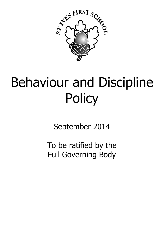

# Behaviour and Discipline **Policy**

September 2014

To be ratified by the Full Governing Body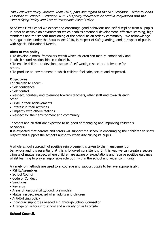This Behaviour Policy, Autumn Term 2014, pays due regard to the DFE Guidance – Behaviour and Discipline in Schools – February 2014. This policy should also be read in conjunction with the 'Anti-Bullying' Policy and 'Use of Reasonable Force' Policy.

At St Ives First School we expect and encourage good behaviour and self-discipline from all pupils in order to achieve an environment which enables emotional development, effective learning, high standards and the smooth functioning of the school as an orderly community. We acknowledge our legal duties under the Equality Act 2010, in respect of Safeguarding, and in respect of pupils with Special Educational Needs.

# **Aims of the policy**

• To develop a moral framework within which children can mature emotionally and in which sound relationships can flourish.

• To enable children to develop a sense of self-worth, respect and tolerance for others.

• To produce an environment in which children feel safe, secure and respected.

# **Objectives**

For children to show: -

- Self confidence
- Self control

• Respect, courtesy and tolerance towards teachers, other staff and towards each other

- Pride in their achievements
- Interest in their activities
- Empathy with others feelings
- Respect for their environment and community

Teachers and all staff are expected to be good at managing and improving children's behaviour.

It is expected that parents and carers will support the school in encouraging their children to show respect and support the school's authority when disciplining its pupils.

A whole school approach of positive reinforcement is taken to the management of behaviour and it is essential that this is followed consistently. In this way we can create a secure climate of mutual respect where children are aware of expectations and receive positive guidance whilst learning to play a responsible role both within the school and wider community.

A variety of methods are used to encourage and support pupils to behave appropriately:

- PSHE/Assemblies
- School Council
- Code of Conduct
- Sanctions
- Rewards
- Areas of Responsibility/good role models
- Mutual respect expected of all adults and children
- Anti-Bullying policy
- Individual support as needed e.g. through School Counsellor
- A range of visitors into school and a variety of visits offsite

# **School Council.**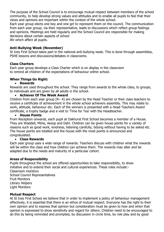The purpose of the School Council is to encourage mutual respect between members of the school community, to help develop strong values and attitudes and to enable all pupils to feel that their views and opinions are important within the context of the whole school.

Each year group elects one boy and one girl to represent them on the council. The communication from each year group, via their representative, leads to discussions which reflect group feelings and opinions. Meetings are held regularly and the School Council are responsible for making decisions about certain aspects of school life which affect all pupils.

## **Anti-Bullying Week (November)**

St Ives First School takes part in the national anti-bullying week. This is done through assemblies, PSHE lessons and discussions/debates in classrooms.

## **Class Charters**

Each year group develops a Class Charter which is on display in the classroom to remind all children of the expectations of behaviour within school.

# **When Things Go Right:**

#### **Rewards**

Rewards are used throughout the school. They range from awards to the whole class, to groups, to individuals and are given by all adults in the school.

## **Achiever Of The Week Award**

Children from each year group [R– 4] are chosen by the Head Teacher or their class teachers to receive a certificate of achievement in the whole school achievers assembly. This may relate to work, attitude, behaviour etc. Each of the winners is presented with a Head Teachers Award certificate, a trophy badge and a visit to 'Time for Tea' with the Headteacher.

#### **House Points**

From Reception onwards, each pupil at Oakhurst First School becomes a member of a House. They are Waddell, Milne, Aesop and Dahl. Children can be given house points for a variety of reasons such as good work, kindness, listening carefully, tidying without having to be asked etc. The house points are totalled and the house with the most points is announced and congratulated.

#### **Class Rewards**

Each year group uses a wide range of rewards. Teachers discuss with children what the rewards will be within the class and how children can achieve them. The rewards may alter and be adapted due to the needs and maturity of a particular cohort.

#### **Areas of Responsibility**

Pupils throughout the school are offered opportunities to take responsibility, to show initiative and to extend their social and cultural experiences. These roles include:- Classroom monitors School Council Representatives Fruit Monitors Library Helpers Light Monitors

#### **Mutual Respect**

At St Ives First School we believe that in order to implement a policy of behaviour management effectively, it is essential that there is an ethos of mutual respect. Everyone has the right to their own opinion and to express that opinion but consideration must be given to how and when that opinion is expressed to show sensitivity and regard for others. Children need to be encouraged to do this by being reminded and prompted, by discussion in circle time, by role play and by good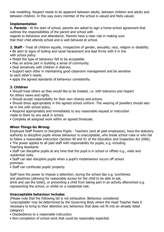role modelling. Respect needs to be apparent between adults, between children and adults and between children. In this way every member of the school is valued and feels valued.

# **Implementation**

**1. Parents** - At the start of school, parents are asked to sign a home-school agreement that outlines the responsibilities of the parent and school with

regards to behaviour and attendance. Parents have a clear role in making sure that their child attends school and is well behaved at school.

**2. Staff -** Treat all children equally, irrespective of gender, sexuality, race, religion or disability. • Be alert to signs of bulling and racial harassment and deal firmly with it in line

with school policy.

- Model the type of behaviour felt to be acceptable.
- Play an active part in building a sense of community.
- Deal sensitively with children in distress.
- Support each other in maintaining good classroom management and be sensitive to each other's needs.
- apply the agreed standards of behaviour consistently.

# **3. Children**

• Should treat others as they would like to be treated, i.e. with tolerance and respect for others views and rights.

• Should accept responsibility for their own choices and actions.

• Should dress appropriately in the agreed school uniform. The wearing of jewellery should also be in line with school policy.

• Respond appropriately and immediately to any reasonable request or instruction made to them by any adult in school.

• Complete all assigned work within an agreed timescale.

# **When Things Go Wrong:**

Employed Staff Powers to Discipline Pupils - Teachers (and all paid employees), have the statutory authority to discipline pupils whose behaviour is unacceptable, who break school rules or who fail to follow a reasonable instruction (Section 90 and 91 of the Education and Inspection Act 2006).

• The power applies to all paid staff with responsibility for pupils, e.g. including Teaching Assistants

• Staff can discipline pupils at any time that the pupil is in school or offsite e.g., visits and residential visits.

• Staff can also discipline pupils when a pupil's misbehaviour occurs off school premises.

• Staff can confiscate pupils' property.

Staff have the power to impose a detention; during the school day e.g. lunchtimes and playtimes (allowing for reasonable access for the child to be able to eat, drink and use the toilet), or preventing a child from taking part in an activity afterschool e.g. representing the school, or whilst on a residential visit.

# **Unacceptable behaviour includes**

(Please note that the following list is not exhaustive. Behaviour considered 'unacceptable' may be determined by the Governing Body where the Head Teacher feels it necessary to bring to their attention any behaviour that does not fit into an already listed category)

- Disobedience to a reasonable instruction.
- Non-completion of school work that could be reasonably expected.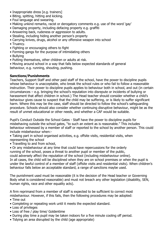- Inappropriate dress [e.g. trainers]
- Biting, spitting, hitting and kicking.
- Foul language and swearing.
- Making unkind remarks, racist or derogatory comments e.g. use of the word 'gay'
- Damaging property, including defacing property e.g. graffiti
- Answering back, rudeness or aggression to adults.
- Stealing, including hiding another person's property
- Carrying knives, drugs, alcohol or any offensive weapon into school
- Truancy.
- Fighting or encouraging others to fight
- Forming gangs for the purpose of intimidating others
- Bullying
- Putting themselves, other children or adults at risk.
- Moving around school in a way that falls below expected standards of general behaviour, e.g. running, shouting, pushing.

#### **Sanctions/Punishments**

Teachers, Support Staff and other paid staff of the school, have the power to discipline pupils whose behaviour is unacceptable, who break the school rules or who fail to follow a reasonable instruction. Their power to discipline pupils applies to behaviour both in school, and out (in certain circumstances – e.g. bringing the school's reputation into disrepute or incidents of bullying or harassment that affect children in school.) The Head teacher should consider whether a child's behaviour gives cause to suspect that the child may be suffering, or is likely to suffer significant harm. Where this may be the case, staff should be directed to follow the school's safeguarding procedure. Schools should also consider whether continuing disruptive behaviour, might be as the result of unmet educational or other needs, and whether a CAF would be suitable.

Pupil's Conduct Outside the School Gates - Staff have the power to discipline pupils for misbehaving outside the school gates, "to such an extent as is reasonable." This includes behaviour witnessed by a member of staff or reported to the school by another person. This could include misbehaviour when:-

• Taking part in school organised activities, e.g. offsite visits, residential visits, when representing the school

• Travelling to and from school,

• Or any misbehaviour at any time that could have repercussions for the orderly running of the school, poses a threat to another pupil or member of the public, could adversely affect the reputation of the school (including misbehaviour online). In all cases, the child will be disciplined when they are on school premises or when the pupil is under the lawful control of a member of staff (offsite visits and residential visits). When children's behaviour falls below an acceptable standard, a range of sanctions maybe used.

The punishment used must be reasonable (it is the decision of the Head teacher or Governing Body what is considered reasonable) and must not breach any other legislation (disability, SEN, human rights, race and other equality acts).

A firm reprimand from a member of staff is expected to be sufficient to correct most misbehaviour. However, if this fails, then the following procedures may be adopted:

- Time out
- Completing or repeating work until it meets the expected standard.
- Loss of privileges
- Loss of free / play time/ Goldentime
- During play time a pupil may be taken indoors for a five minute cooling off period.
- Tidying an area disrupted by the child (age appropriate)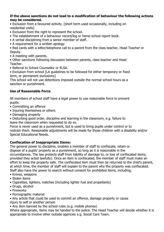### **If the above sanctions do not lead to a modification of behaviour the following actions may be considered.**

• Exclusion from a favoured activity. [short term used occasionally, including on residential visits]

- Exclusion from the right to represent the school.
- The establishment of a behaviour record/log or home school report book.
- A verbal disciplining from a senior member of staff.
- A requirement for a written apology

• Red cards with a letter/telephone call to a parent from the class teacher, Head Teacher or Deputy.

• A meeting with parents.

• Other sanctions following discussion between parents, class teacher and Head Teacher.

• Referral to School Counsellor or ELSA.

• Exclusion from school [LA guidelines to be followed for either temporary or fixed term, or permanent exclusions]

This school will not use detentions imposed outside the normal school hours as a sanction or punishment.

# **Use of Reasonable Force**

All members of school staff have a legal power to use reasonable force to prevent pupils:

- Committing an offence
- Injuring themselves or others
- Damaging property
- Disturbing good order, discipline and learning in the classroom, e.g. failure to leave the classroom when requested to do so.

Force is never used as a punishment, but is used to bring pupils under control or to restrain them. Reasonable adjustments will be made for those children with a disability and/or Special Educational Needs.

# **Confiscation of Inappropriate Items:**

The general power to discipline, enables a member of staff to confiscate, retain or dispose of a pupils' property as a punishment, so long as it is reasonable in the circumstances. The law protects staff from liability of damage to, or loss of confiscated items, provided they acted lawfully). Once an item is confiscated, the member of staff must make an effort to keep the property safe. The confiscated item must then be returned to the child's parent, at which time, the member of staff will explain to the parent why the property was confiscated. Staff also have the power to search without consent for prohibited items, including;

- Knives, weapons
- Stolen items
- Cigarettes, lighters, matches (including lighter fuel and propellants)
- Drugs, alcohol
- Fireworks
- Pornographic material

• Any article that could be used to commit an offence, damage property or cause

injury to self or another person

• Any item banned by the school rules (e.g. mobile phones)

Where appropriate, items may be handed to the police. The Head Teacher will decide whether it is appropriate to involve other outside agencies e.g. Social Care Team.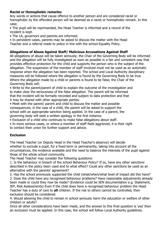# **Racist or Homophobic remarks:**

Any words or actions that cause offence to another person and are considered racist or homophobic by the offended person will be deemed as a racist or homophobic remark. In this case;

• The pupil will be reprimanded, the Head Teacher is informed and a record of the incident is kept.

• The LA, governors and parents are informed.

• In persistent cases, parents may be asked to discuss the matter with the Head Teacher and a referral made to police in line with the school Equality Policy.

# **Allegations of Abuse Against Staff/ Malicious Accusations Against Staff**

All allegations of abuse will be taken seriously; the Chair of the Governing Body will be informed and the allegation will be fully investigated as soon as possible in a fair and consistent way that provides effective protection for the child and supports the person who is the subject of the allegation. The suspension of the member of staff involved must not be used as an automatic response when the allegation has been reported. The school and Local Authority disciplinary measures will be followed where the allegation is found by the Governing Body to be true. Where the allegation made by a child or parents is found to be false, the Chair of the Governing Body will:

• Write to the parent/parent of child to explain the outcome of the investigation and to make clear the seriousness of the false allegation. The parent will be informed that the incident will be formally recorded and subject to data protection and that it may be shared with other appropriate parties.

• Meet with the parent/ parent and child to discuss the matter and possible consequences; in the case of a child, the parent will be asked to support the school with an appropriate sanction being applied. In the case of a parent, the governing body will seek a written apology in the first instance.

• Exclusion of a child who continues to make false allegations about staff.

• In more serious cases, or where a member of staff feels aggrieved, it is their right to contact their union for further support and advice.

# **Exclusion**

The Head Teacher (or Deputy Head in the Head Teacher's absence) will decide whether to exclude a pupil, for a fixed term or permanently, taking into account all the circumstances, the evidence available and the need to balance the interests of the pupil against those of the whole school community.

The Head Teacher may consider the following questions:

1. Is the behaviour in breach of the school Behaviour Policy? If so, have any other sanctions described in the policy been used and to what effect? Could any other sanctions be used as an alternative with the parents' agreement?

2. Has the school previously supported the child (what/when/what level of impact did this have? 3. Does the child have any recognised behaviour problems? Have reasonable adjustments already been made or could they now be made? (Evidence could be SEN documentation e.g. Statement, IEP, Risk Assessments) Even if the child does have a recognised behaviour problem the Head Teacher has a duty of care to **all** children. If the risk to others cannot be controlled, then exclusion should be considered.

4. Would allowing the child to remain in school seriously harm the education or welfare of other children or adults?

Once all other considerations have been made, and the answer to this final question is 'yes' then an exclusion must be applied. In this case, the school will follow Local Authority guidelines.